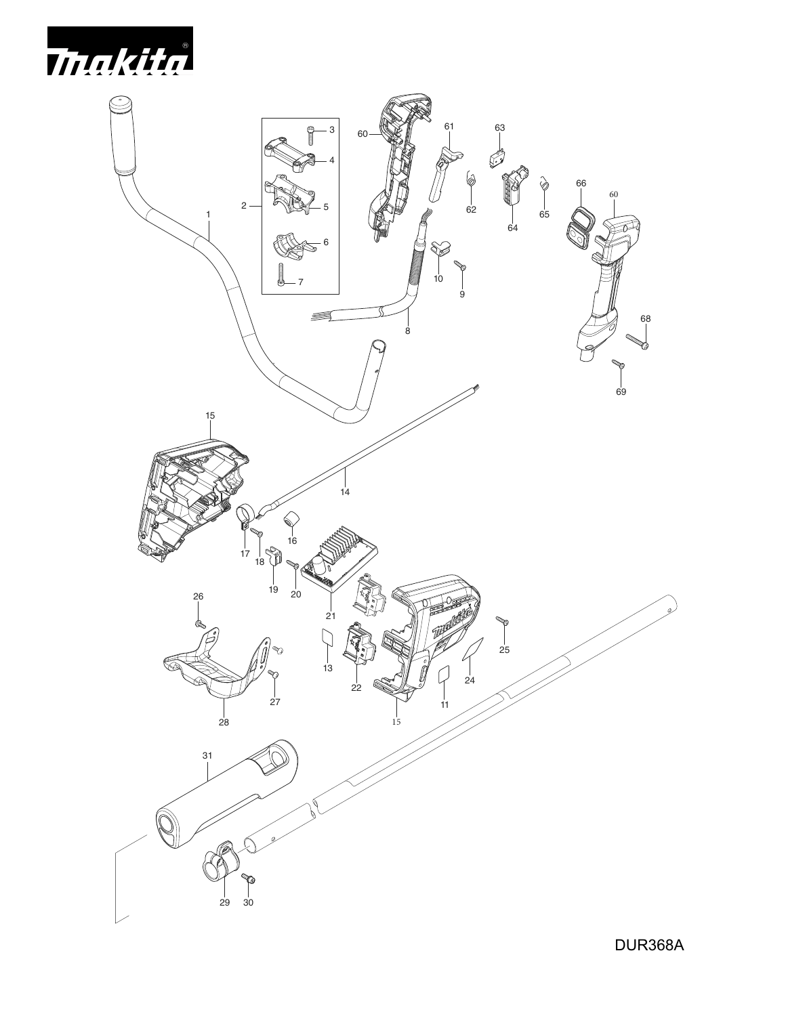

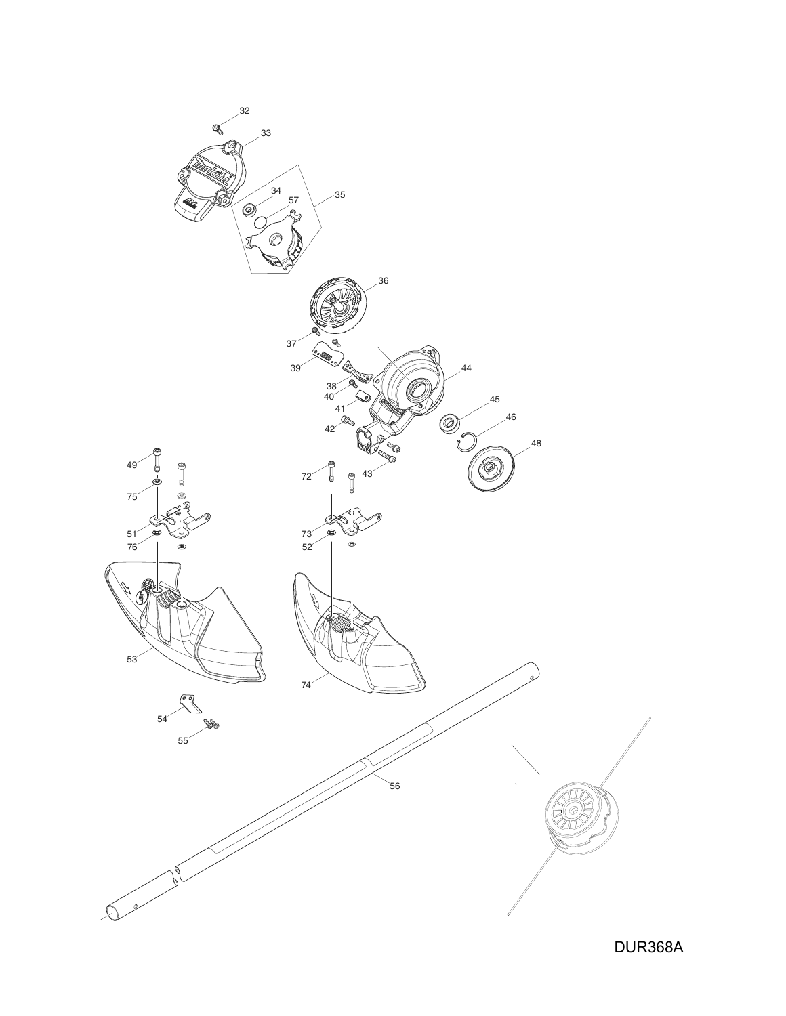

DUR368A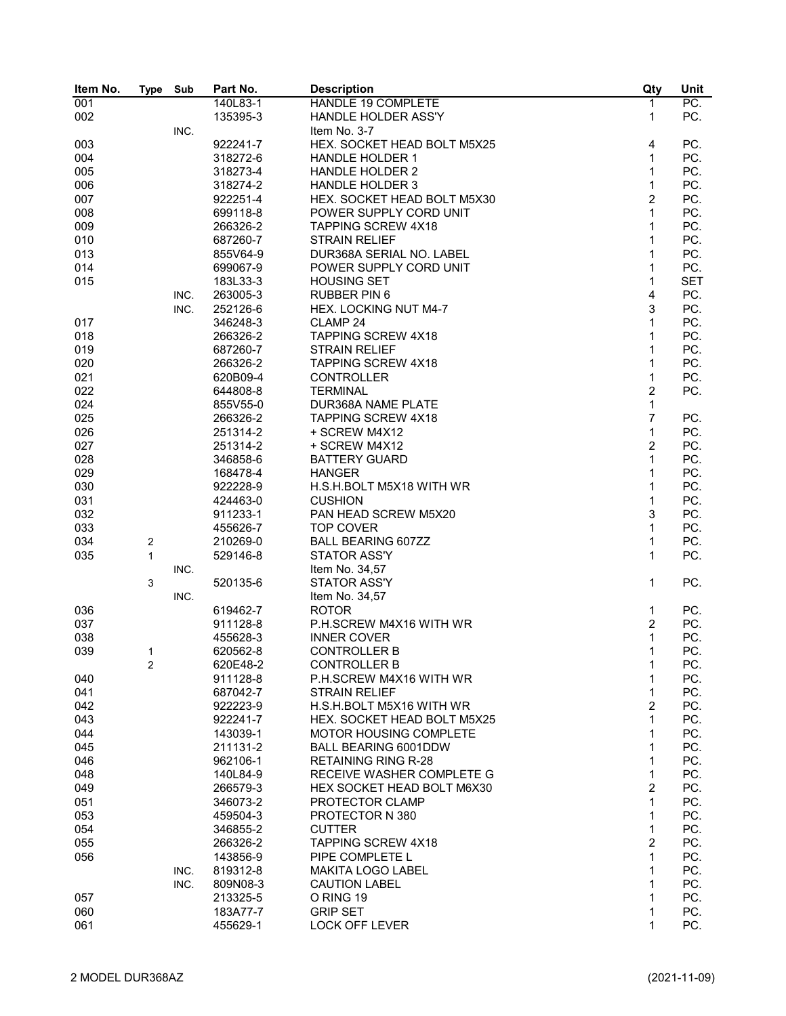| Item No. | <b>Type</b> | Sub  | Part No.             | <b>Description</b>          | Qty            | Unit       |
|----------|-------------|------|----------------------|-----------------------------|----------------|------------|
| 001      |             |      | 140L83-1             | <b>HANDLE 19 COMPLETE</b>   | $\mathbf{1}$   | PC.        |
| 002      |             |      | 135395-3             | <b>HANDLE HOLDER ASS'Y</b>  | 1              | PC.        |
|          |             | INC. |                      | Item No. 3-7                |                |            |
| 003      |             |      | 922241-7             | HEX. SOCKET HEAD BOLT M5X25 | 4              | PC.        |
| 004      |             |      | 318272-6             | <b>HANDLE HOLDER 1</b>      | 1              | PC.        |
| 005      |             |      | 318273-4             | <b>HANDLE HOLDER 2</b>      | 1              | PC.        |
| 006      |             |      | 318274-2             | <b>HANDLE HOLDER 3</b>      | 1              | PC.        |
| 007      |             |      | 922251-4             | HEX. SOCKET HEAD BOLT M5X30 | $\overline{c}$ | PC.        |
| 008      |             |      | 699118-8             | POWER SUPPLY CORD UNIT      | 1              | PC.        |
| 009      |             |      | 266326-2             | <b>TAPPING SCREW 4X18</b>   | 1              | PC.        |
| 010      |             |      | 687260-7             | <b>STRAIN RELIEF</b>        | 1              | PC.        |
| 013      |             |      | 855V64-9             | DUR368A SERIAL NO. LABEL    | 1              | PC.        |
| 014      |             |      | 699067-9             | POWER SUPPLY CORD UNIT      | 1              | PC.        |
| 015      |             |      | 183L33-3             | <b>HOUSING SET</b>          | 1              | <b>SET</b> |
|          |             | INC. | 263005-3             | <b>RUBBER PIN 6</b>         | 4              | PC.        |
|          |             | INC. | 252126-6             | HEX. LOCKING NUT M4-7       | 3              | PC.        |
|          |             |      | 346248-3             | CLAMP <sub>24</sub>         | 1              | PC.        |
| 017      |             |      |                      | <b>TAPPING SCREW 4X18</b>   | 1              | PC.        |
| 018      |             |      | 266326-2<br>687260-7 |                             | 1              | PC.        |
| 019      |             |      |                      | <b>STRAIN RELIEF</b>        |                |            |
| 020      |             |      | 266326-2             | <b>TAPPING SCREW 4X18</b>   | 1              | PC.        |
| 021      |             |      | 620B09-4             | <b>CONTROLLER</b>           | 1              | PC.        |
| 022      |             |      | 644808-8             | <b>TERMINAL</b>             | $\overline{2}$ | PC.        |
| 024      |             |      | 855V55-0             | DUR368A NAME PLATE          | 1              |            |
| 025      |             |      | 266326-2             | <b>TAPPING SCREW 4X18</b>   | $\overline{7}$ | PC.        |
| 026      |             |      | 251314-2             | + SCREW M4X12               | 1              | PC.        |
| 027      |             |      | 251314-2             | + SCREW M4X12               | $\overline{c}$ | PC.        |
| 028      |             |      | 346858-6             | <b>BATTERY GUARD</b>        | 1              | PC.        |
| 029      |             |      | 168478-4             | <b>HANGER</b>               | 1              | PC.        |
| 030      |             |      | 922228-9             | H.S.H.BOLT M5X18 WITH WR    | 1              | PC.        |
| 031      |             |      | 424463-0             | <b>CUSHION</b>              | 1              | PC.        |
| 032      |             |      | 911233-1             | PAN HEAD SCREW M5X20        | 3              | PC.        |
| 033      |             |      | 455626-7             | <b>TOP COVER</b>            | 1              | PC.        |
| 034      | 2           |      | 210269-0             | <b>BALL BEARING 607ZZ</b>   | 1              | PC.        |
| 035      | 1           |      | 529146-8             | <b>STATOR ASS'Y</b>         | 1              | PC.        |
|          |             | INC. |                      | Item No. 34,57              |                |            |
|          | 3           |      | 520135-6             | <b>STATOR ASS'Y</b>         | 1              | PC.        |
|          |             | INC. |                      | Item No. 34,57              |                |            |
| 036      |             |      | 619462-7             | <b>ROTOR</b>                | 1              | PC.        |
| 037      |             |      | 911128-8             | P.H.SCREW M4X16 WITH WR     | 2              | PC.        |
| 038      |             |      | 455628-3             | <b>INNER COVER</b>          | 1              | PC.        |
| 039      | 1           |      | 620562-8             | <b>CONTROLLER B</b>         | 1              | PC.        |
|          | 2           |      | 620E48-2             | <b>CONTROLLER B</b>         | 1              | PC.        |
| 040      |             |      | 911128-8             | P.H.SCREW M4X16 WITH WR     | 1              | PC.        |
| 041      |             |      | 687042-7             | <b>STRAIN RELIEF</b>        | 1              | PC.        |
| 042      |             |      | 922223-9             | H.S.H.BOLT M5X16 WITH WR    | 2              | PC.        |
| 043      |             |      | 922241-7             | HEX. SOCKET HEAD BOLT M5X25 | 1              | PC.        |
| 044      |             |      | 143039-1             | MOTOR HOUSING COMPLETE      | 1              | PC.        |
|          |             |      |                      |                             | 1              | PC.        |
| 045      |             |      | 211131-2             | BALL BEARING 6001DDW        |                |            |
| 046      |             |      | 962106-1             | <b>RETAINING RING R-28</b>  | 1              | PC.        |
| 048      |             |      | 140L84-9             | RECEIVE WASHER COMPLETE G   | 1              | PC.        |
| 049      |             |      | 266579-3             | HEX SOCKET HEAD BOLT M6X30  | $\overline{2}$ | PC.        |
| 051      |             |      | 346073-2             | PROTECTOR CLAMP             | 1              | PC.        |
| 053      |             |      | 459504-3             | PROTECTOR N 380             | 1              | PC.        |
| 054      |             |      | 346855-2             | <b>CUTTER</b>               | 1              | PC.        |
| 055      |             |      | 266326-2             | <b>TAPPING SCREW 4X18</b>   | 2              | PC.        |
| 056      |             |      | 143856-9             | PIPE COMPLETE L             | 1              | PC.        |
|          |             | INC. | 819312-8             | <b>MAKITA LOGO LABEL</b>    | 1              | PC.        |
|          |             | INC. | 809N08-3             | <b>CAUTION LABEL</b>        | 1              | PC.        |
| 057      |             |      | 213325-5             | O RING 19                   | 1              | PC.        |
| 060      |             |      | 183A77-7             | <b>GRIP SET</b>             | 1              | PC.        |
| 061      |             |      | 455629-1             | LOCK OFF LEVER              | 1              | PC.        |